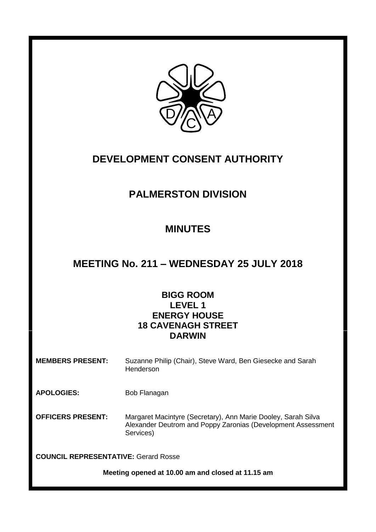

# **DEVELOPMENT CONSENT AUTHORITY**

## **PALMERSTON DIVISION**

# **MINUTES**

## **MEETING No. 211 – WEDNESDAY 25 JULY 2018**

## **BIGG ROOM LEVEL 1 ENERGY HOUSE 18 CAVENAGH STREET DARWIN**

**MEMBERS PRESENT:** Suzanne Philip (Chair), Steve Ward, Ben Giesecke and Sarah **Henderson** 

APOLOGIES: Bob Flanagan

**OFFICERS PRESENT:** Margaret Macintyre (Secretary), Ann Marie Dooley, Sarah Silva Alexander Deutrom and Poppy Zaronias (Development Assessment Services)

**COUNCIL REPRESENTATIVE:** Gerard Rosse

**Meeting opened at 10.00 am and closed at 11.15 am**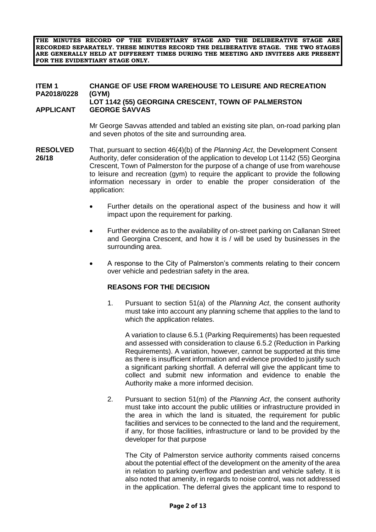**THE MINUTES RECORD OF THE EVIDENTIARY STAGE AND THE DELIBERATIVE STAGE ARE RECORDED SEPARATELY. THESE MINUTES RECORD THE DELIBERATIVE STAGE. THE TWO STAGES ARE GENERALLY HELD AT DIFFERENT TIMES DURING THE MEETING AND INVITEES ARE PRESENT FOR THE EVIDENTIARY STAGE ONLY.**

#### **ITEM 1 CHANGE OF USE FROM WAREHOUSE TO LEISURE AND RECREATION PA2018/0228 (GYM) LOT 1142 (55) GEORGINA CRESCENT, TOWN OF PALMERSTON APPLICANT GEORGE SAVVAS**

Mr George Savvas attended and tabled an existing site plan, on-road parking plan and seven photos of the site and surrounding area.

- **RESOLVED** That, pursuant to section 46(4)(b) of the *Planning Act*, the Development Consent **26/18** Authority, defer consideration of the application to develop Lot 1142 (55) Georgina Crescent, Town of Palmerston for the purpose of a change of use from warehouse to leisure and recreation (gym) to require the applicant to provide the following information necessary in order to enable the proper consideration of the application:
	- Further details on the operational aspect of the business and how it will impact upon the requirement for parking.
	- Further evidence as to the availability of on-street parking on Callanan Street and Georgina Crescent, and how it is / will be used by businesses in the surrounding area.
	- A response to the City of Palmerston's comments relating to their concern over vehicle and pedestrian safety in the area.

#### **REASONS FOR THE DECISION**

1. Pursuant to section 51(a) of the *Planning Act*, the consent authority must take into account any planning scheme that applies to the land to which the application relates.

A variation to clause 6.5.1 (Parking Requirements) has been requested and assessed with consideration to clause 6.5.2 (Reduction in Parking Requirements). A variation, however, cannot be supported at this time as there is insufficient information and evidence provided to justify such a significant parking shortfall. A deferral will give the applicant time to collect and submit new information and evidence to enable the Authority make a more informed decision.

2. Pursuant to section 51(m) of the *Planning Act*, the consent authority must take into account the public utilities or infrastructure provided in the area in which the land is situated, the requirement for public facilities and services to be connected to the land and the requirement, if any, for those facilities, infrastructure or land to be provided by the developer for that purpose

The City of Palmerston service authority comments raised concerns about the potential effect of the development on the amenity of the area in relation to parking overflow and pedestrian and vehicle safety. It is also noted that amenity, in regards to noise control, was not addressed in the application. The deferral gives the applicant time to respond to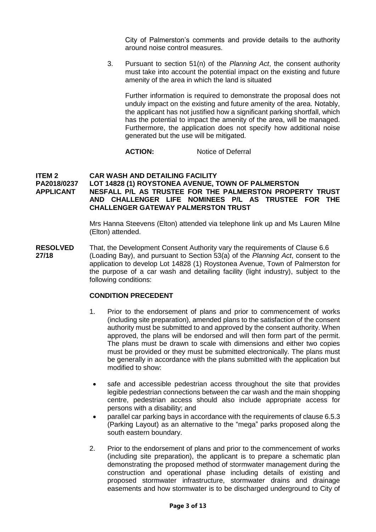City of Palmerston's comments and provide details to the authority around noise control measures.

3. Pursuant to section 51(n) of the *Planning Act*, the consent authority must take into account the potential impact on the existing and future amenity of the area in which the land is situated

Further information is required to demonstrate the proposal does not unduly impact on the existing and future amenity of the area. Notably, the applicant has not justified how a significant parking shortfall, which has the potential to impact the amenity of the area, will be managed. Furthermore, the application does not specify how additional noise generated but the use will be mitigated.

#### **ACTION:** Notice of Deferral

#### **ITEM 2 CAR WASH AND DETAILING FACILITY PA2018/0237 LOT 14828 (1) ROYSTONEA AVENUE, TOWN OF PALMERSTON APPLICANT [NESFALL P/L AS TRUSTEE FOR THE PALMERSTON PROPERTY TRUST](javascript:openPopupWindow()  [AND CHALLENGER LIFE NOMINEES P/L AS TRUSTEE FOR THE](javascript:openPopupWindow()  [CHALLENGER GATEWAY PALMERSTON TRUST](javascript:openPopupWindow()**

Mrs Hanna Steevens (Elton) attended via telephone link up and Ms Lauren Milne (Elton) attended.

**RESOLVED** That, the Development Consent Authority vary the requirements of Clause 6.6 **27/18** (Loading Bay), and pursuant to Section 53(a) of the *Planning Act*, consent to the application to develop Lot 14828 (1) Roystonea Avenue, Town of Palmerston for the purpose of a car wash and detailing facility (light industry), subject to the following conditions:

#### **CONDITION PRECEDENT**

- 1. Prior to the endorsement of plans and prior to commencement of works (including site preparation), amended plans to the satisfaction of the consent authority must be submitted to and approved by the consent authority. When approved, the plans will be endorsed and will then form part of the permit. The plans must be drawn to scale with dimensions and either two copies must be provided or they must be submitted electronically. The plans must be generally in accordance with the plans submitted with the application but modified to show:
	- safe and accessible pedestrian access throughout the site that provides legible pedestrian connections between the car wash and the main shopping centre, pedestrian access should also include appropriate access for persons with a disability; and
- parallel car parking bays in accordance with the requirements of clause 6.5.3 (Parking Layout) as an alternative to the "mega" parks proposed along the south eastern boundary.
- 2. Prior to the endorsement of plans and prior to the commencement of works (including site preparation), the applicant is to prepare a schematic plan demonstrating the proposed method of stormwater management during the construction and operational phase including details of existing and proposed stormwater infrastructure, stormwater drains and drainage easements and how stormwater is to be discharged underground to City of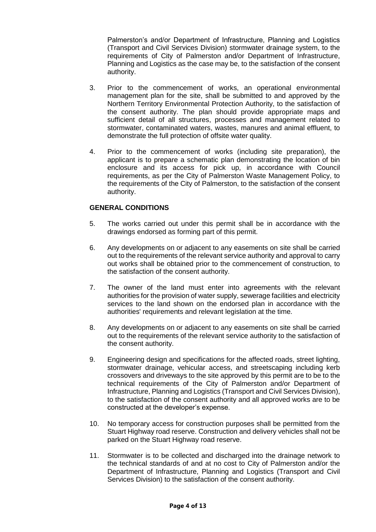Palmerston's and/or Department of Infrastructure, Planning and Logistics (Transport and Civil Services Division) stormwater drainage system, to the requirements of City of Palmerston and/or Department of Infrastructure, Planning and Logistics as the case may be, to the satisfaction of the consent authority.

- 3. Prior to the commencement of works, an operational environmental management plan for the site, shall be submitted to and approved by the Northern Territory Environmental Protection Authority, to the satisfaction of the consent authority. The plan should provide appropriate maps and sufficient detail of all structures, processes and management related to stormwater, contaminated waters, wastes, manures and animal effluent, to demonstrate the full protection of offsite water quality.
- 4. Prior to the commencement of works (including site preparation), the applicant is to prepare a schematic plan demonstrating the location of bin enclosure and its access for pick up, in accordance with Council requirements, as per the City of Palmerston Waste Management Policy, to the requirements of the City of Palmerston, to the satisfaction of the consent authority.

#### **GENERAL CONDITIONS**

- 5. The works carried out under this permit shall be in accordance with the drawings endorsed as forming part of this permit.
- 6. Any developments on or adjacent to any easements on site shall be carried out to the requirements of the relevant service authority and approval to carry out works shall be obtained prior to the commencement of construction, to the satisfaction of the consent authority.
- 7. The owner of the land must enter into agreements with the relevant authorities for the provision of water supply, sewerage facilities and electricity services to the land shown on the endorsed plan in accordance with the authorities' requirements and relevant legislation at the time.
- 8. Any developments on or adjacent to any easements on site shall be carried out to the requirements of the relevant service authority to the satisfaction of the consent authority.
- 9. Engineering design and specifications for the affected roads, street lighting, stormwater drainage, vehicular access, and streetscaping including kerb crossovers and driveways to the site approved by this permit are to be to the technical requirements of the City of Palmerston and/or Department of Infrastructure, Planning and Logistics (Transport and Civil Services Division), to the satisfaction of the consent authority and all approved works are to be constructed at the developer's expense.
- 10. No temporary access for construction purposes shall be permitted from the Stuart Highway road reserve. Construction and delivery vehicles shall not be parked on the Stuart Highway road reserve.
- 11. Stormwater is to be collected and discharged into the drainage network to the technical standards of and at no cost to City of Palmerston and/or the Department of Infrastructure, Planning and Logistics (Transport and Civil Services Division) to the satisfaction of the consent authority.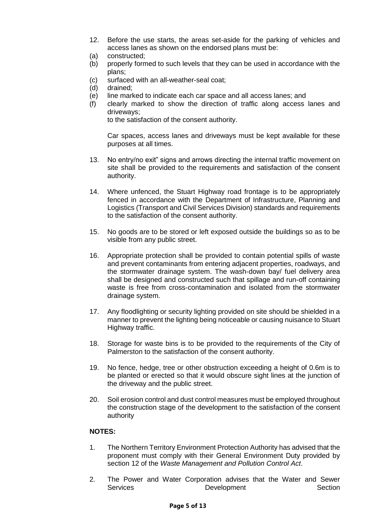- 12. Before the use starts, the areas set-aside for the parking of vehicles and access lanes as shown on the endorsed plans must be:
- (a) constructed;
- (b) properly formed to such levels that they can be used in accordance with the plans;
- (c) surfaced with an all-weather-seal coat;
- (d) drained;
- (e) line marked to indicate each car space and all access lanes; and
- (f) clearly marked to show the direction of traffic along access lanes and driveways;

to the satisfaction of the consent authority.

Car spaces, access lanes and driveways must be kept available for these purposes at all times.

- 13. No entry/no exit" signs and arrows directing the internal traffic movement on site shall be provided to the requirements and satisfaction of the consent authority.
- 14. Where unfenced, the Stuart Highway road frontage is to be appropriately fenced in accordance with the Department of Infrastructure, Planning and Logistics (Transport and Civil Services Division) standards and requirements to the satisfaction of the consent authority.
- 15. No goods are to be stored or left exposed outside the buildings so as to be visible from any public street.
- 16. Appropriate protection shall be provided to contain potential spills of waste and prevent contaminants from entering adjacent properties, roadways, and the stormwater drainage system. The wash-down bay/ fuel delivery area shall be designed and constructed such that spillage and run-off containing waste is free from cross-contamination and isolated from the stormwater drainage system.
- 17. Any floodlighting or security lighting provided on site should be shielded in a manner to prevent the lighting being noticeable or causing nuisance to Stuart Highway traffic.
- 18. Storage for waste bins is to be provided to the requirements of the City of Palmerston to the satisfaction of the consent authority.
- 19. No fence, hedge, tree or other obstruction exceeding a height of 0.6m is to be planted or erected so that it would obscure sight lines at the junction of the driveway and the public street.
- 20. Soil erosion control and dust control measures must be employed throughout the construction stage of the development to the satisfaction of the consent authority

#### **NOTES:**

- 1. The Northern Territory Environment Protection Authority has advised that the proponent must comply with their General Environment Duty provided by section 12 of the *Waste Management and Pollution Control Act*.
- 2. The Power and Water Corporation advises that the Water and Sewer<br>Services **Development** Section Services Development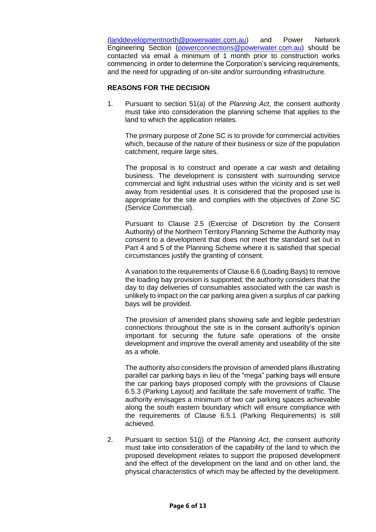[\(landdevelopmentnorth@powerwater.com.au\)](mailto:landdevelopmentnorth@powerwater.com.au) and Power Network Engineering Section [\(powerconnections@powerwater.com.au\)](mailto:powerconnections@powerwater.com.au) should be contacted via email a minimum of 1 month prior to construction works commencing in order to determine the Corporation's servicing requirements, and the need for upgrading of on-site and/or surrounding infrastructure.

#### **REASONS FOR THE DECISION**

1. Pursuant to section 51(a) of the *Planning Act*, the consent authority must take into consideration the planning scheme that applies to the land to which the application relates.

The primary purpose of Zone SC is to provide for commercial activities which, because of the nature of their business or size of the population catchment, require large sites.

The proposal is to construct and operate a car wash and detailing business. The development is consistent with surrounding service commercial and light industrial uses within the vicinity and is set well away from residential uses. It is considered that the proposed use is appropriate for the site and complies with the objectives of Zone SC (Service Commercial).

Pursuant to Clause 2.5 (Exercise of Discretion by the Consent Authority) of the Northern Territory Planning Scheme the Authority may consent to a development that does not meet the standard set out in Part 4 and 5 of the Planning Scheme where it is satisfied that special circumstances justify the granting of consent.

A variation to the requirements of Clause 6.6 (Loading Bays) to remove the loading bay provision is supported; the authority considers that the day to day deliveries of consumables associated with the car wash is unlikely to impact on the car parking area given a surplus of car parking bays will be provided.

The provision of amended plans showing safe and legible pedestrian connections throughout the site is in the consent authority's opinion important for securing the future safe operations of the onsite development and improve the overall amenity and useability of the site as a whole.

The authority also considers the provision of amended plans illustrating parallel car parking bays in lieu of the "mega" parking bays will ensure the car parking bays proposed comply with the provisions of Clause 6.5.3 (Parking Layout) and facilitate the safe movement of traffic. The authority envisages a minimum of two car parking spaces achievable along the south eastern boundary which will ensure compliance with the requirements of Clause 6.5.1 (Parking Requirements) is still achieved.

2. Pursuant to section 51(j) of the *Planning Act*, the consent authority must take into consideration of the capability of the land to which the proposed development relates to support the proposed development and the effect of the development on the land and on other land, the physical characteristics of which may be affected by the development.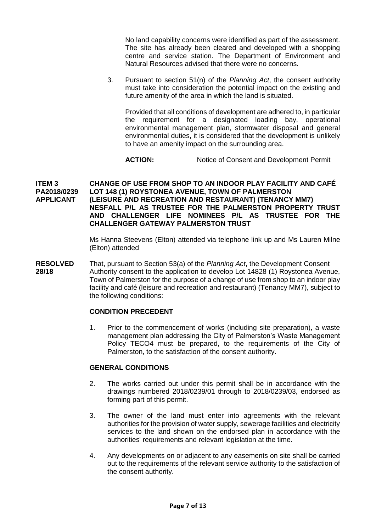No land capability concerns were identified as part of the assessment. The site has already been cleared and developed with a shopping centre and service station. The Department of Environment and Natural Resources advised that there were no concerns.

3. Pursuant to section 51(n) of the *Planning Act*, the consent authority must take into consideration the potential impact on the existing and future amenity of the area in which the land is situated.

Provided that all conditions of development are adhered to, in particular the requirement for a designated loading bay, operational environmental management plan, stormwater disposal and general environmental duties, it is considered that the development is unlikely to have an amenity impact on the surrounding area.

ACTION: Notice of Consent and Development Permit

#### **ITEM 3 CHANGE OF USE FROM SHOP TO AN INDOOR PLAY FACILITY AND CAFÉ PA2018/0239 LOT 148 (1) ROYSTONEA AVENUE, TOWN OF PALMERSTON APPLICANT (LEISURE AND RECREATION AND RESTAURANT) (TENANCY MM7) [NESFALL P/L AS TRUSTEE FOR THE PALMERSTON PROPERTY TRUST](javascript:openPopupWindow()  [AND CHALLENGER LIFE NOMINEES P/L AS TRUSTEE FOR THE](javascript:openPopupWindow()  [CHALLENGER GATEWAY PALMERSTON TRUST](javascript:openPopupWindow()**

Ms Hanna Steevens (Elton) attended via telephone link up and Ms Lauren Milne (Elton) attended

**RESOLVED** That, pursuant to Section 53(a) of the *Planning Act*, the Development Consent **28/18** Authority consent to the application to develop Lot 14828 (1) Roystonea Avenue, Town of Palmerston for the purpose of a change of use from shop to an indoor play facility and café (leisure and recreation and restaurant) (Tenancy MM7), subject to the following conditions:

#### **CONDITION PRECEDENT**

1. Prior to the commencement of works (including site preparation), a waste management plan addressing the City of Palmerston's Waste Management Policy TECO4 must be prepared, to the requirements of the City of Palmerston, to the satisfaction of the consent authority.

#### **GENERAL CONDITIONS**

- 2. The works carried out under this permit shall be in accordance with the drawings numbered 2018/0239/01 through to 2018/0239/03, endorsed as forming part of this permit.
- 3. The owner of the land must enter into agreements with the relevant authorities for the provision of water supply, sewerage facilities and electricity services to the land shown on the endorsed plan in accordance with the authorities' requirements and relevant legislation at the time.
- 4. Any developments on or adjacent to any easements on site shall be carried out to the requirements of the relevant service authority to the satisfaction of the consent authority.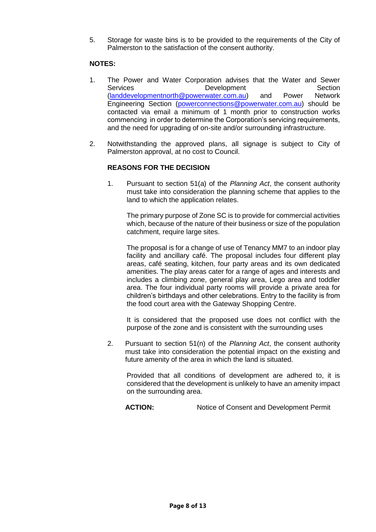5. Storage for waste bins is to be provided to the requirements of the City of Palmerston to the satisfaction of the consent authority.

#### **NOTES:**

- 1. The Power and Water Corporation advises that the Water and Sewer Services **Development** Development Section [\(landdevelopmentnorth@powerwater.com.au\)](mailto:landdevelopmentnorth@powerwater.com.au) and Power Network Engineering Section [\(powerconnections@powerwater.com.au\)](mailto:powerconnections@powerwater.com.au) should be contacted via email a minimum of 1 month prior to construction works commencing in order to determine the Corporation's servicing requirements, and the need for upgrading of on-site and/or surrounding infrastructure.
- 2. Notwithstanding the approved plans, all signage is subject to City of Palmerston approval, at no cost to Council.

#### **REASONS FOR THE DECISION**

1. Pursuant to section 51(a) of the *Planning Act*, the consent authority must take into consideration the planning scheme that applies to the land to which the application relates.

The primary purpose of Zone SC is to provide for commercial activities which, because of the nature of their business or size of the population catchment, require large sites.

The proposal is for a change of use of Tenancy MM7 to an indoor play facility and ancillary café. The proposal includes four different play areas, café seating, kitchen, four party areas and its own dedicated amenities. The play areas cater for a range of ages and interests and includes a climbing zone, general play area, Lego area and toddler area. The four individual party rooms will provide a private area for children's birthdays and other celebrations. Entry to the facility is from the food court area with the Gateway Shopping Centre.

It is considered that the proposed use does not conflict with the purpose of the zone and is consistent with the surrounding uses

2. Pursuant to section 51(n) of the *Planning Act*, the consent authority must take into consideration the potential impact on the existing and future amenity of the area in which the land is situated.

Provided that all conditions of development are adhered to, it is considered that the development is unlikely to have an amenity impact on the surrounding area.

ACTION: Notice of Consent and Development Permit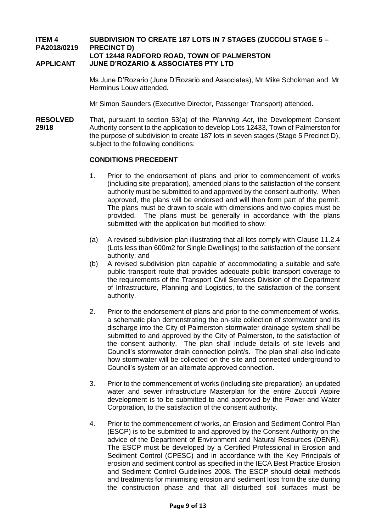### **ITEM 4 SUBDIVISION TO CREATE 187 LOTS IN 7 STAGES (ZUCCOLI STAGE 5 – PA2018/0219 PRECINCT D) LOT 12448 RADFORD ROAD, TOWN OF PALMERSTON**

#### **APPLICANT JUNE D'ROZARIO & ASSOCIATES PTY LTD**

Ms June D'Rozario (June D'Rozario and Associates), Mr Mike Schokman and Mr Herminus Louw attended.

Mr Simon Saunders (Executive Director, Passenger Transport) attended.

**RESOLVED** That, pursuant to section 53(a) of the *Planning Act*, the Development Consent **29/18** Authority consent to the application to develop Lots 12433, Town of Palmerston for the purpose of subdivision to create 187 lots in seven stages (Stage 5 Precinct D), subject to the following conditions:

#### **CONDITIONS PRECEDENT**

- 1. Prior to the endorsement of plans and prior to commencement of works (including site preparation), amended plans to the satisfaction of the consent authority must be submitted to and approved by the consent authority. When approved, the plans will be endorsed and will then form part of the permit. The plans must be drawn to scale with dimensions and two copies must be provided. The plans must be generally in accordance with the plans submitted with the application but modified to show:
- (a) A revised subdivision plan illustrating that all lots comply with Clause 11.2.4 (Lots less than 600m2 for Single Dwellings) to the satisfaction of the consent authority; and
- (b) A revised subdivision plan capable of accommodating a suitable and safe public transport route that provides adequate public transport coverage to the requirements of the Transport Civil Services Division of the Department of Infrastructure, Planning and Logistics, to the satisfaction of the consent authority.
- 2. Prior to the endorsement of plans and prior to the commencement of works, a schematic plan demonstrating the on-site collection of stormwater and its discharge into the City of Palmerston stormwater drainage system shall be submitted to and approved by the City of Palmerston, to the satisfaction of the consent authority. The plan shall include details of site levels and Council's stormwater drain connection point/s. The plan shall also indicate how stormwater will be collected on the site and connected underground to Council's system or an alternate approved connection.
- 3. Prior to the commencement of works (including site preparation), an updated water and sewer infrastructure Masterplan for the entire Zuccoli Aspire development is to be submitted to and approved by the Power and Water Corporation, to the satisfaction of the consent authority.
- 4. Prior to the commencement of works, an Erosion and Sediment Control Plan (ESCP) is to be submitted to and approved by the Consent Authority on the advice of the Department of Environment and Natural Resources (DENR). The ESCP must be developed by a Certified Professional in Erosion and Sediment Control (CPESC) and in accordance with the Key Principals of erosion and sediment control as specified in the IECA Best Practice Erosion and Sediment Control Guidelines 2008. The ESCP should detail methods and treatments for minimising erosion and sediment loss from the site during the construction phase and that all disturbed soil surfaces must be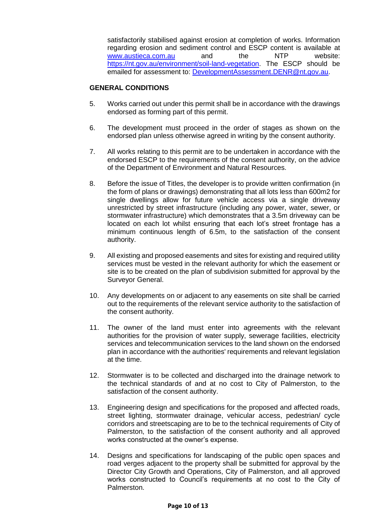satisfactorily stabilised against erosion at completion of works. Information regarding erosion and sediment control and ESCP content is available at [www.austieca.com.au](http://www.austieca.com.au/) and the NTP website: [https://nt.gov.au/environment/soil-land-vegetation.](https://nt.gov.au/environment/soil-land-vegetation) The ESCP should be emailed for assessment to: [DevelopmentAssessment.DENR@nt.gov.au.](mailto:DevelopmentAssessment.DENR@nt.gov.au)

#### **GENERAL CONDITIONS**

- 5. Works carried out under this permit shall be in accordance with the drawings endorsed as forming part of this permit.
- 6. The development must proceed in the order of stages as shown on the endorsed plan unless otherwise agreed in writing by the consent authority.
- 7. All works relating to this permit are to be undertaken in accordance with the endorsed ESCP to the requirements of the consent authority, on the advice of the Department of Environment and Natural Resources.
- 8. Before the issue of Titles, the developer is to provide written confirmation (in the form of plans or drawings) demonstrating that all lots less than 600m2 for single dwellings allow for future vehicle access via a single driveway unrestricted by street infrastructure (including any power, water, sewer, or stormwater infrastructure) which demonstrates that a 3.5m driveway can be located on each lot whilst ensuring that each lot's street frontage has a minimum continuous length of 6.5m, to the satisfaction of the consent authority.
- 9. All existing and proposed easements and sites for existing and required utility services must be vested in the relevant authority for which the easement or site is to be created on the plan of subdivision submitted for approval by the Surveyor General.
- 10. Any developments on or adjacent to any easements on site shall be carried out to the requirements of the relevant service authority to the satisfaction of the consent authority.
- 11. The owner of the land must enter into agreements with the relevant authorities for the provision of water supply, sewerage facilities, electricity services and telecommunication services to the land shown on the endorsed plan in accordance with the authorities' requirements and relevant legislation at the time.
- 12. Stormwater is to be collected and discharged into the drainage network to the technical standards of and at no cost to City of Palmerston, to the satisfaction of the consent authority.
- 13. Engineering design and specifications for the proposed and affected roads, street lighting, stormwater drainage, vehicular access, pedestrian/ cycle corridors and streetscaping are to be to the technical requirements of City of Palmerston, to the satisfaction of the consent authority and all approved works constructed at the owner's expense.
- 14. Designs and specifications for landscaping of the public open spaces and road verges adjacent to the property shall be submitted for approval by the Director City Growth and Operations, City of Palmerston, and all approved works constructed to Council's requirements at no cost to the City of Palmerston.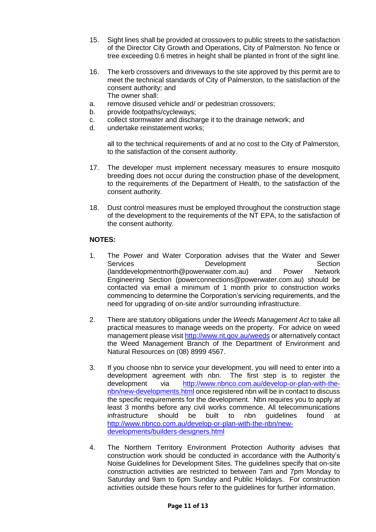- 15. Sight lines shall be provided at crossovers to public streets to the satisfaction of the Director City Growth and Operations, City of Palmerston. No fence or tree exceeding 0.6 metres in height shall be planted in front of the sight line.
- 16. The kerb crossovers and driveways to the site approved by this permit are to meet the technical standards of City of Palmerston, to the satisfaction of the consent authority; and The owner shall:
- a. remove disused vehicle and/ or pedestrian crossovers;
- b. provide footpaths/cycleways;
- c. collect stormwater and discharge it to the drainage network; and
- d. undertake reinstatement works;

all to the technical requirements of and at no cost to the City of Palmerston, to the satisfaction of the consent authority.

- 17. The developer must implement necessary measures to ensure mosquito breeding does not occur during the construction phase of the development, to the requirements of the Department of Health, to the satisfaction of the consent authority.
- 18. Dust control measures must be employed throughout the construction stage of the development to the requirements of the NT EPA, to the satisfaction of the consent authority.

### **NOTES:**

- 1. The Power and Water Corporation advises that the Water and Sewer Services **Development** Development Section (landdevelopmentnorth@powerwater.com.au) and Power Network Engineering Section (powerconnections@powerwater.com.au) should be contacted via email a minimum of 1 month prior to construction works commencing to determine the Corporation's servicing requirements, and the need for upgrading of on-site and/or surrounding infrastructure.
- 2. There are statutory obligations under the *Weeds Management Act* to take all practical measures to manage weeds on the property. For advice on weed management please visit<http://www.nt.gov.au/weeds> or alternatively contact the Weed Management Branch of the Department of Environment and Natural Resources on (08) 8999 4567.
- 3. If you choose nbn to service your development, you will need to enter into a development agreement with nbn. The first step is to register the development via [http://www.nbnco.com.au/develop-or-plan-with-the](http://www.nbnco.com.au/develop-or-plan-with-the-nbn/new-developments.html)[nbn/new-developments.html](http://www.nbnco.com.au/develop-or-plan-with-the-nbn/new-developments.html) once registered nbn will be in contact to discuss the specific requirements for the development. Nbn requires you to apply at least 3 months before any civil works commence. All telecommunications infrastructure should be built to nbn guidelines found at [http://www.nbnco.com.au/develop-or-plan-with-the-nbn/new](http://www.nbnco.com.au/develop-or-plan-with-the-nbn/new-developments/builders-designers.html)[developments/builders-designers.html](http://www.nbnco.com.au/develop-or-plan-with-the-nbn/new-developments/builders-designers.html)
- 4. The Northern Territory Environment Protection Authority advises that construction work should be conducted in accordance with the Authority's Noise Guidelines for Development Sites. The guidelines specify that on-site construction activities are restricted to between 7am and 7pm Monday to Saturday and 9am to 6pm Sunday and Public Holidays. For construction activities outside these hours refer to the guidelines for further information.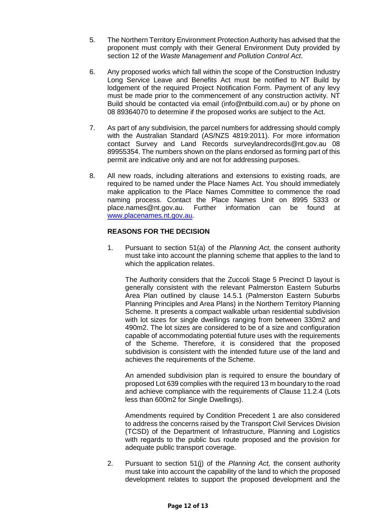- 5. The Northern Territory Environment Protection Authority has advised that the proponent must comply with their General Environment Duty provided by section 12 of the *Waste Management and Pollution Control Act*.
- 6. Any proposed works which fall within the scope of the Construction Industry Long Service Leave and Benefits Act must be notified to NT Build by lodgement of the required Project Notification Form. Payment of any levy must be made prior to the commencement of any construction activity. NT Build should be contacted via email (info@ntbuild.com.au) or by phone on 08 89364070 to determine if the proposed works are subject to the Act.
- 7. As part of any subdivision, the parcel numbers for addressing should comply with the Australian Standard (AS/NZS 4819:2011). For more information contact Survey and Land Records surveylandrecords@nt.gov.au 08 89955354. The numbers shown on the plans endorsed as forming part of this permit are indicative only and are not for addressing purposes.
- 8. All new roads, including alterations and extensions to existing roads, are required to be named under the Place Names Act. You should immediately make application to the Place Names Committee to commence the road naming process. Contact the Place Names Unit on 8995 5333 or place.names@nt.gov.au. Further information can be found at [www.placenames.nt.gov.au.](http://www.placenames.nt.gov.au/)

### **REASONS FOR THE DECISION**

1. Pursuant to section 51(a) of the *Planning Act,* the consent authority must take into account the planning scheme that applies to the land to which the application relates.

The Authority considers that the Zuccoli Stage 5 Precinct D layout is generally consistent with the relevant Palmerston Eastern Suburbs Area Plan outlined by clause 14.5.1 (Palmerston Eastern Suburbs Planning Principles and Area Plans) in the Northern Territory Planning Scheme. It presents a compact walkable urban residential subdivision with lot sizes for single dwellings ranging from between 330m2 and 490m2. The lot sizes are considered to be of a size and configuration capable of accommodating potential future uses with the requirements of the Scheme. Therefore, it is considered that the proposed subdivision is consistent with the intended future use of the land and achieves the requirements of the Scheme.

An amended subdivision plan is required to ensure the boundary of proposed Lot 639 complies with the required 13 m boundary to the road and achieve compliance with the requirements of Clause 11.2.4 (Lots less than 600m2 for Single Dwellings).

Amendments required by Condition Precedent 1 are also considered to address the concerns raised by the Transport Civil Services Division (TCSD) of the Department of Infrastructure, Planning and Logistics with regards to the public bus route proposed and the provision for adequate public transport coverage.

2. Pursuant to section 51(j) of the *Planning Act,* the consent authority must take into account the capability of the land to which the proposed development relates to support the proposed development and the